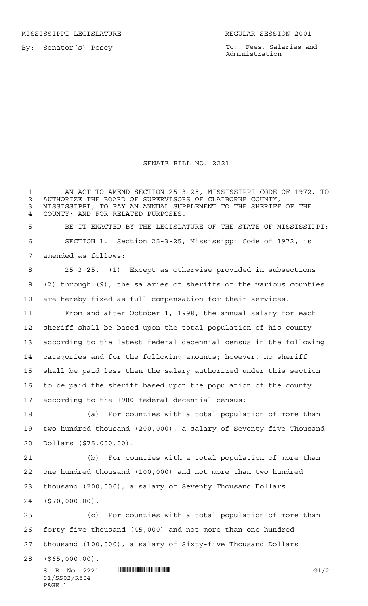MISSISSIPPI LEGISLATURE **REGULAR SESSION 2001** 

By: Senator(s) Posey

To: Fees, Salaries and Administration

## SENATE BILL NO. 2221

 AN ACT TO AMEND SECTION 25-3-25, MISSISSIPPI CODE OF 1972, TO 2 AUTHORIZE THE BOARD OF SUPERVISORS OF CLAIBORNE COUNTY,<br>3 MISSISSIPPI, TO PAY AN ANNUAL SUPPLEMENT TO THE SHERIFF MISSISSIPPI, TO PAY AN ANNUAL SUPPLEMENT TO THE SHERIFF OF THE COUNTY; AND FOR RELATED PURPOSES. BE IT ENACTED BY THE LEGISLATURE OF THE STATE OF MISSISSIPPI: SECTION 1. Section 25-3-25, Mississippi Code of 1972, is amended as follows: 25-3-25. (1) Except as otherwise provided in subsections (2) through (9), the salaries of sheriffs of the various counties are hereby fixed as full compensation for their services. From and after October 1, 1998, the annual salary for each sheriff shall be based upon the total population of his county according to the latest federal decennial census in the following categories and for the following amounts; however, no sheriff shall be paid less than the salary authorized under this section to be paid the sheriff based upon the population of the county according to the 1980 federal decennial census:

 (a) For counties with a total population of more than two hundred thousand (200,000), a salary of Seventy-five Thousand Dollars (\$75,000.00).

 (b) For counties with a total population of more than one hundred thousand (100,000) and not more than two hundred thousand (200,000), a salary of Seventy Thousand Dollars (\$70,000.00).

 (c) For counties with a total population of more than forty-five thousand (45,000) and not more than one hundred thousand (100,000), a salary of Sixty-five Thousand Dollars

(\$65,000.00).

 $S. B. No. 2221$   $\blacksquare$   $\blacksquare$   $\blacksquare$   $\blacksquare$   $\blacksquare$   $\blacksquare$   $\blacksquare$ 01/SS02/R504 PAGE 1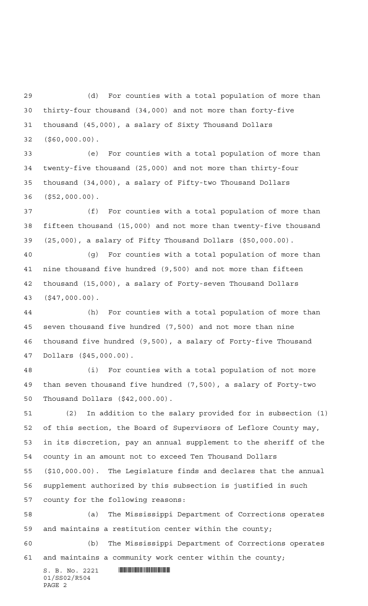(d) For counties with a total population of more than thirty-four thousand (34,000) and not more than forty-five thousand (45,000), a salary of Sixty Thousand Dollars (\$60,000.00).

 (e) For counties with a total population of more than twenty-five thousand (25,000) and not more than thirty-four thousand (34,000), a salary of Fifty-two Thousand Dollars (\$52,000.00).

 (f) For counties with a total population of more than fifteen thousand (15,000) and not more than twenty-five thousand (25,000), a salary of Fifty Thousand Dollars (\$50,000.00).

 (g) For counties with a total population of more than nine thousand five hundred (9,500) and not more than fifteen thousand (15,000), a salary of Forty-seven Thousand Dollars (\$47,000.00).

 (h) For counties with a total population of more than seven thousand five hundred (7,500) and not more than nine thousand five hundred (9,500), a salary of Forty-five Thousand Dollars (\$45,000.00).

 (i) For counties with a total population of not more than seven thousand five hundred (7,500), a salary of Forty-two Thousand Dollars (\$42,000.00).

 (2) In addition to the salary provided for in subsection (1) of this section, the Board of Supervisors of Leflore County may, in its discretion, pay an annual supplement to the sheriff of the county in an amount not to exceed Ten Thousand Dollars (\$10,000.00). The Legislature finds and declares that the annual supplement authorized by this subsection is justified in such county for the following reasons:

 (a) The Mississippi Department of Corrections operates and maintains a restitution center within the county;

 (b) The Mississippi Department of Corrections operates and maintains a community work center within the county;

 $S. B. No. 2221$  **INSEPTERS** 01/SS02/R504 PAGE 2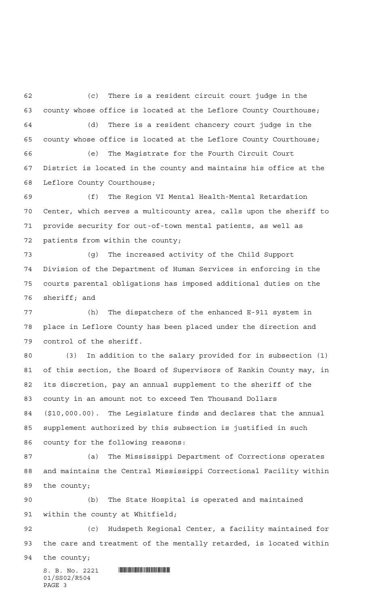(c) There is a resident circuit court judge in the county whose office is located at the Leflore County Courthouse; (d) There is a resident chancery court judge in the county whose office is located at the Leflore County Courthouse; (e) The Magistrate for the Fourth Circuit Court District is located in the county and maintains his office at the Leflore County Courthouse; (f) The Region VI Mental Health-Mental Retardation Center, which serves a multicounty area, calls upon the sheriff to

 provide security for out-of-town mental patients, as well as patients from within the county;

 (g) The increased activity of the Child Support Division of the Department of Human Services in enforcing in the courts parental obligations has imposed additional duties on the sheriff; and

 (h) The dispatchers of the enhanced E-911 system in place in Leflore County has been placed under the direction and control of the sheriff.

 (3) In addition to the salary provided for in subsection (1) of this section, the Board of Supervisors of Rankin County may, in its discretion, pay an annual supplement to the sheriff of the county in an amount not to exceed Ten Thousand Dollars (\$10,000.00). The Legislature finds and declares that the annual supplement authorized by this subsection is justified in such county for the following reasons:

 (a) The Mississippi Department of Corrections operates and maintains the Central Mississippi Correctional Facility within the county;

 (b) The State Hospital is operated and maintained within the county at Whitfield;

 (c) Hudspeth Regional Center, a facility maintained for the care and treatment of the mentally retarded, is located within

the county;

 $S. B. No. 2221$  **INSEPTERTING A** 01/SS02/R504 PAGE 3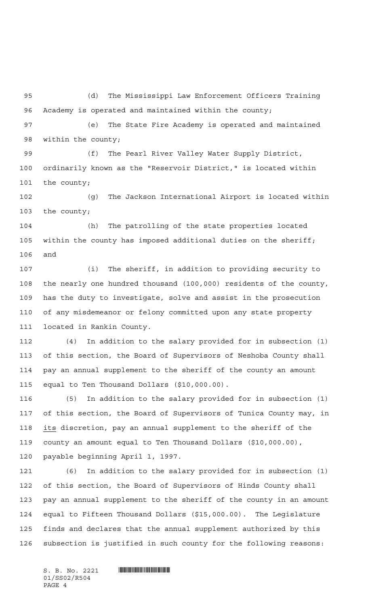(d) The Mississippi Law Enforcement Officers Training Academy is operated and maintained within the county;

 (e) The State Fire Academy is operated and maintained within the county;

 (f) The Pearl River Valley Water Supply District, ordinarily known as the "Reservoir District," is located within the county;

 (g) The Jackson International Airport is located within the county;

 (h) The patrolling of the state properties located within the county has imposed additional duties on the sheriff; and

 (i) The sheriff, in addition to providing security to the nearly one hundred thousand (100,000) residents of the county, has the duty to investigate, solve and assist in the prosecution of any misdemeanor or felony committed upon any state property located in Rankin County.

 (4) In addition to the salary provided for in subsection (1) of this section, the Board of Supervisors of Neshoba County shall pay an annual supplement to the sheriff of the county an amount equal to Ten Thousand Dollars (\$10,000.00).

 (5) In addition to the salary provided for in subsection (1) of this section, the Board of Supervisors of Tunica County may, in its discretion, pay an annual supplement to the sheriff of the county an amount equal to Ten Thousand Dollars (\$10,000.00), payable beginning April 1, 1997.

 (6) In addition to the salary provided for in subsection (1) of this section, the Board of Supervisors of Hinds County shall pay an annual supplement to the sheriff of the county in an amount equal to Fifteen Thousand Dollars (\$15,000.00). The Legislature finds and declares that the annual supplement authorized by this subsection is justified in such county for the following reasons:

 $S. B. No. 2221$  **INSEPTERTING A** 01/SS02/R504 PAGE 4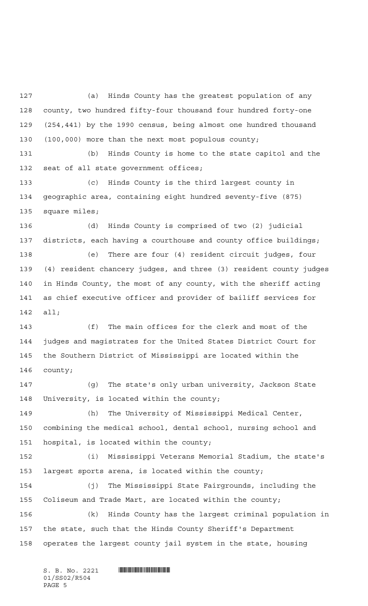(a) Hinds County has the greatest population of any county, two hundred fifty-four thousand four hundred forty-one (254,441) by the 1990 census, being almost one hundred thousand (100,000) more than the next most populous county;

 (b) Hinds County is home to the state capitol and the seat of all state government offices;

 (c) Hinds County is the third largest county in geographic area, containing eight hundred seventy-five (875) square miles;

 (d) Hinds County is comprised of two (2) judicial districts, each having a courthouse and county office buildings;

 (e) There are four (4) resident circuit judges, four (4) resident chancery judges, and three (3) resident county judges in Hinds County, the most of any county, with the sheriff acting as chief executive officer and provider of bailiff services for all;

 (f) The main offices for the clerk and most of the judges and magistrates for the United States District Court for the Southern District of Mississippi are located within the county;

 (g) The state's only urban university, Jackson State University, is located within the county;

 (h) The University of Mississippi Medical Center, combining the medical school, dental school, nursing school and hospital, is located within the county;

 (i) Mississippi Veterans Memorial Stadium, the state's largest sports arena, is located within the county;

 (j) The Mississippi State Fairgrounds, including the Coliseum and Trade Mart, are located within the county;

 (k) Hinds County has the largest criminal population in the state, such that the Hinds County Sheriff's Department operates the largest county jail system in the state, housing

 $S. B. No. 2221$  **IN THE REFERENCE I**N  $S. B. NO.$ 01/SS02/R504 PAGE 5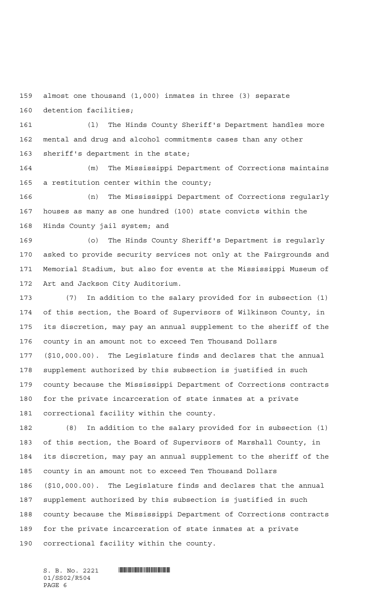almost one thousand (1,000) inmates in three (3) separate detention facilities;

 (l) The Hinds County Sheriff's Department handles more mental and drug and alcohol commitments cases than any other sheriff's department in the state;

 (m) The Mississippi Department of Corrections maintains a restitution center within the county;

 (n) The Mississippi Department of Corrections regularly houses as many as one hundred (100) state convicts within the Hinds County jail system; and

 (o) The Hinds County Sheriff's Department is regularly asked to provide security services not only at the Fairgrounds and Memorial Stadium, but also for events at the Mississippi Museum of Art and Jackson City Auditorium.

 (7) In addition to the salary provided for in subsection (1) of this section, the Board of Supervisors of Wilkinson County, in its discretion, may pay an annual supplement to the sheriff of the county in an amount not to exceed Ten Thousand Dollars (\$10,000.00). The Legislature finds and declares that the annual supplement authorized by this subsection is justified in such county because the Mississippi Department of Corrections contracts for the private incarceration of state inmates at a private correctional facility within the county.

 (8) In addition to the salary provided for in subsection (1) of this section, the Board of Supervisors of Marshall County, in its discretion, may pay an annual supplement to the sheriff of the county in an amount not to exceed Ten Thousand Dollars (\$10,000.00). The Legislature finds and declares that the annual supplement authorized by this subsection is justified in such county because the Mississippi Department of Corrections contracts for the private incarceration of state inmates at a private correctional facility within the county.

01/SS02/R504 PAGE 6

 $S. B. No. 2221$  **IN THE REFERENCE I**N  $S. B. NO.$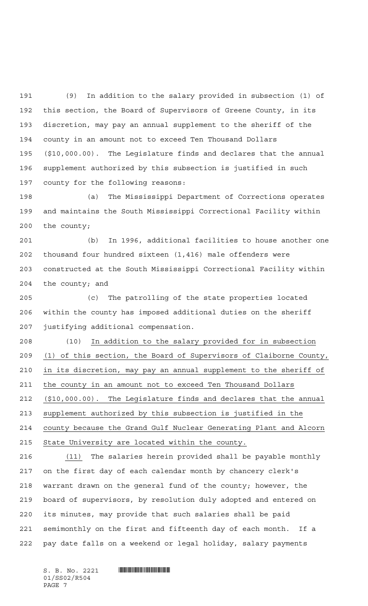(9) In addition to the salary provided in subsection (1) of this section, the Board of Supervisors of Greene County, in its discretion, may pay an annual supplement to the sheriff of the county in an amount not to exceed Ten Thousand Dollars (\$10,000.00). The Legislature finds and declares that the annual supplement authorized by this subsection is justified in such county for the following reasons:

 (a) The Mississippi Department of Corrections operates and maintains the South Mississippi Correctional Facility within the county;

 (b) In 1996, additional facilities to house another one thousand four hundred sixteen (1,416) male offenders were constructed at the South Mississippi Correctional Facility within the county; and

 (c) The patrolling of the state properties located within the county has imposed additional duties on the sheriff justifying additional compensation.

 (10) In addition to the salary provided for in subsection (1) of this section, the Board of Supervisors of Claiborne County, in its discretion, may pay an annual supplement to the sheriff of the county in an amount not to exceed Ten Thousand Dollars (\$10,000.00). The Legislature finds and declares that the annual supplement authorized by this subsection is justified in the county because the Grand Gulf Nuclear Generating Plant and Alcorn State University are located within the county.

216 (11) The salaries herein provided shall be payable monthly on the first day of each calendar month by chancery clerk's warrant drawn on the general fund of the county; however, the board of supervisors, by resolution duly adopted and entered on its minutes, may provide that such salaries shall be paid semimonthly on the first and fifteenth day of each month. If a pay date falls on a weekend or legal holiday, salary payments

01/SS02/R504 PAGE 7

 $S. B. No. 2221$  **IN THE REFERENCE I**N